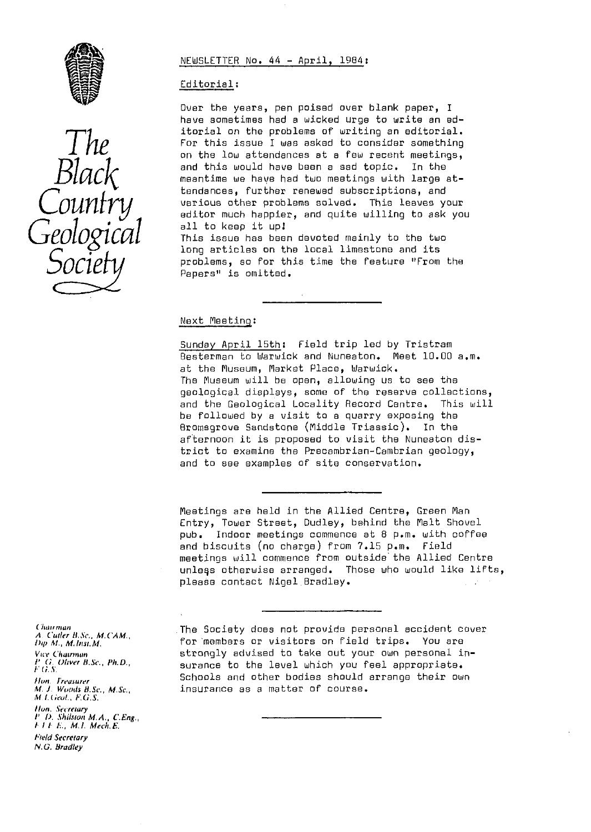

# $G$ *COLOGICAL* This

### NEWSLETTER No. 44 - April, 1984 :

## Editorial :

Over the years, pen poised over blank paper, I have sometimes had a wicked urge to write an **ed**itorial on the problems of writing an editorial. For this issue I was asked to consider something on the low attendances at a few recent meetings,<br>and this would have been a sad topic. In the  $l\alpha c$  and this would have been a sad topic. In the meantime we have been a sad topic. In the  $l\alpha c$ tendances, further renewed subscriptions, and<br>various other problems solved. This leaves your  $\text{C}\text{0}\text{matrix} \longrightarrow \text{various other problems solved. This leaves your  
editor much happen, and quite willing to ask you$  $all$  to keep it up! This issue has been devoted mainly to the two

long articles on the local limestone and its problems, so for this time the feature "From the Papers" is omitted.

### Next Meeting :

Sunday April 15th: Field trip led by Tristram Besterman to Warwick and Nuneaton. Meet 10.00 a.m. at the Museum, Market Place, Warwick, The Museum will be open, allowing us to see the geological displays, some of the reserve collections, and the Geological Locality Record Centre. This will be followed by a visit to a quarry exposing the Bromsgrove Sandstone (Middle Triassic). In the afternoon it is proposed to visit the Nuneaton district to examine the Precambrian-Cambrian geology, and to see examples of site conservation.

Meetings are held in the Allied Centre, Green Man Entry, Tower Street, Dudley, behind the Malt Shovel pub. Indoor meetings commence at 8 p.m. with coffee and biscuits (no charge) from 7.15 p.m. Field meetings will commence from outside the Allied Centre unlegs otherwise arranged. Those who would like lifts, please contact Nigel.Bradley.

The Society does not provide personal accident cover for members or visitors on field trips. You are strongly advised to take out your own personal insurance to the level which you feel appropriate. Schools and other bodies should arrange their own insurance as a matter of course.

Chairman *A. Coffer h, Sc" M.C'AM.,* **Dip** *M. M. lire, M.* Vice Chairman *I' G.* Oliver *B,* Se,, *Ph.D.,* V .<br>M. J. Woods B.Sc., M.Sc., ^%( *Lc;eul., F.G.S.*

flare. Sre•rewry *P 0. SJrilsrun* **MA.,** *C.Eng., h* **/** *I I:.,* **M. I.** *Mech.* **<sup>E</sup>***.*

Field Secretary *N.G. Bradley*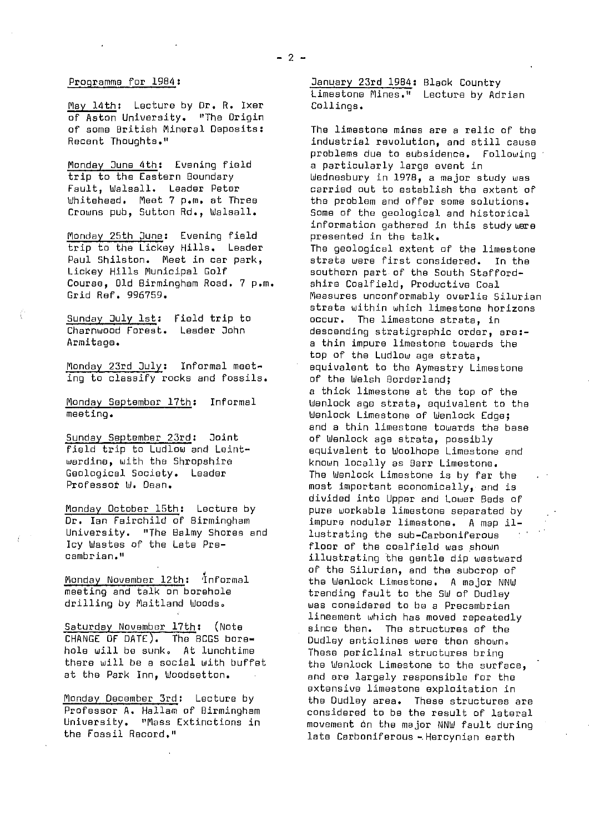### $-2-$

# Programme for 1984:

May 14th: Lecture by Dr. R. Ixer of Aston University. "The Origin of some British Mineral Deposits; Recent Thoughts."

Monday June 4th: Evening field trip to the Eastern Boundary Fault, Walsall. Leader Peter Whitehead. feet 7 p.m. at Three Crowns pub, Sutton Rd., Walsall.

Monday 25th June: Evening field trip to the Lickey Hills. Leader Paul Shilston. Meet in car park, Lickey Hills Municipal Golf Course, old Birmingham Road. 7 p.m. Grid Ref. 996759.

Sunday July 1st: Field trip to Charnwood Forest. Leader John Armitage.

Monday 23rd July: Informal meeting to classify rocks and fossils.

Monday September 17th: Informal meeting.

Sunday September 23rd: Joint field trip to Ludlow and Leintwardine, with the Shropshire Geological Society. Leader Professot W. Dean,

Monday October 15th: Lecture by Dr. Ian Fairchild of Birmingham University. "The Balmy Shores and Icy Wastes of the Late Precambrian."

Monday November 12th: Informal meeting and talk on borehole drilling by Maitland Woods.

Saturday November 17th: (Note CHANGE OF DATE). The BCGS borehole will be sunk. At lunchtime there will be a social with buffet at the Park Inn, Woodsetton.

Monday December 3rd: Lecture by Professor A. Hallam of Birmingham University. "Mass Extinctions in the Fossil Record."

January 23rd 1984: Black Country Limestone Mines." Lecture by Adrian Collings.

The limestone mines are a relic of the industrial revolution, and still cause problems due to subsidence. Following a particularly large event in Wednesbury in 1978, a major study was carried out to establish the extent of the problem and offer some solutions. Some of the geological and historical information gathered in this study were presented in the talk. The geological extent of the limestone strata were first considered. In the southern part of the South Staffordshire Coalfield, Productive Coal Measures unconformably overlie Silurian strata within which limestone horizons occur. The limestone strata, in descending stratigraphic order, are: a thin impure limestone towards the top of the Ludlow age strata, equivalent to the Aymestry Limestone of the Welsh Borderland; a thick limestone at the top of the Wenlock age strata, equivalent to the Wenlock Limestone of Wenlock Edge; and a thin limestone towards the base of Wenlock age strata, possibly equivalent to Woolhope Limestone and known locally as Barr Limestone. The Wenlock Limestone is by far the most important economically, and is divided into Upper and Lower Beds of pure workable limestone separated by impure nodular limestone. A map i1 lustrating the sub-Carboniferous *floor of* the coalfield was shown illustrating the gentle dip westward of the Silurian, and the subcrop of the Wenlock Limestone. A major NNW trending fault to the SW of Dudley was considered to be a Precambrian lineament which has moved repeatedly since then. The structures of the Dudley anticlines were then shown. These periclinal structures bring the Wenlock Limestone to the surface, and are largely responsible for the extensive limestone exploitation in the Dudley area. These structures are considered to be the result of lateral movement on the major NNW fault during late Carboniferous - Hercynian earth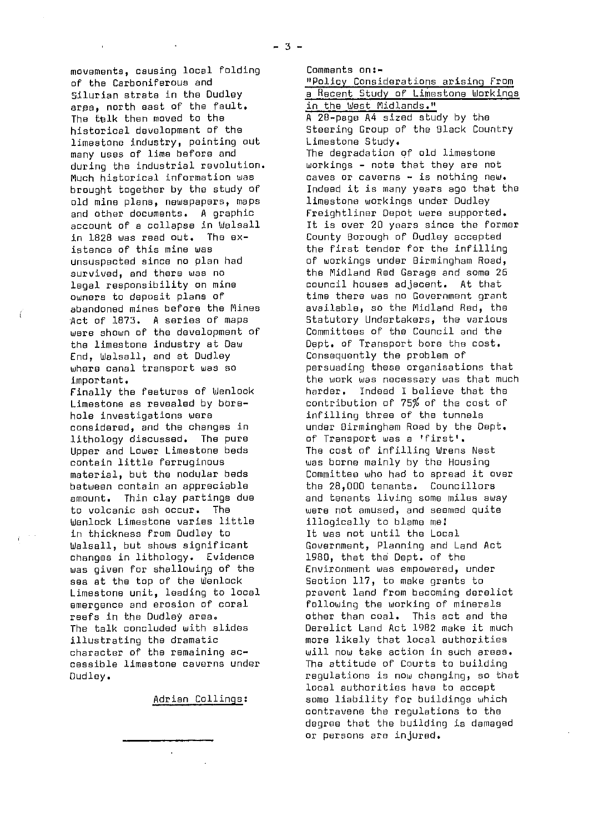movements, causing local folding of the Carboniferous and Silurian strata in the Dudley area, north east of the fault. The talk then moved to the historical development of the limestone industry, pointing out many uses of lime before and during the industrial revolution. Much historical information was brought together by the study of old mine plans, newspapers, maps and other documents. A graphic account of a collapse in Walsall in 1828 was read out. The existence of this mine was unsuspected since no plan had survived, and there was no legal responsibility on mine owners to deposit plans of abandoned mines before the Mines Act of 1873. A series of maps were shown of the development of the limestone industry at Daw End, Walsall, and at Dudley where canal transport was so important.

Finally the features of Wenlock Limestone as revealed by borehole investigations were considered, and the changes in lithology discussed. The pure Upper and Lower Limestone beds contain little ferruginous material, but the nodular beds between contain an appreciable amount. Thin clay partings due to volcanic ash occur. The Wenlock Limestone varies little in thickness from Dudley to Walsall, but shows significant changes in lithology. Evidence was given for shallowing of the sea at the top of the Wenlock Limestone unit, leading to local emergence and erosion of coral reefs in the Dudley area. The talk concluded with slides illustrating the dramatic character of the remaining accessible limestone caverns under Dudley.

Adrian Collings :

"Policy Considerations arising From a Recent Study of Limestone Workings in the West Midlands." A 2B-page A4 sized study by the Steering Group of the Black Country Limestone Study. The degradation of old limestone workings - note that they are not caves or caverns - is nothing new. Indeed it is many years ago that the limestone workings under Dudley Freightliner Depot were supported. It is over 20 yoars since the former County Borough of Dudley accepted the first tender for the infilling of workings under Birmingham Road, the Midland Red Garage and some 26 council houses adjacent. At that time there was no Government grant available, so the Midland Red, the Statutory Undertakers, the various Committees of the Council and the Dept. of Transport bore the cost. Consequently the problem of persuading these organisations that the work was necessary was that much harder. Indeed I believe that the contribution of 75% of the cost of infilling three of the tunnels under Birmingham Road by the Dept. of Transport was a 'first'. The cost of infilling Wrens Nest was borne mainly by the Housing Committee who had to spread it over the 28,000 tenants. Councillors and tenants living some miles away were not amused, and seemed quite illogically to blame me! It was not *until* the Local Government, Planning and Land Act 1980, that the Dept. of the Environment was empowered, under Section 117, to make grants to prevent land from becoming derelict following the working of minerals other than coal. This act and the Derelict Land Act 1982 make it much more likely that local authorities will now take action *in* such areas. The attitude of Courts to building regulations is now changing, so that local authorities have to accept some liability for buildings which contravene the regulations to the degree that the building is damaged or persons are injured.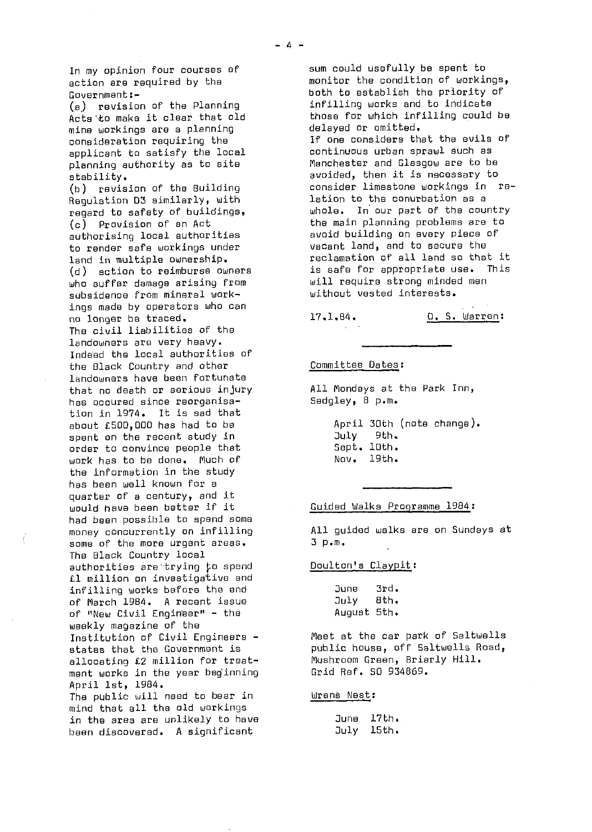In my opinion four courses of action are required by the Government:-

 $(a)$  revision of the Planning Acts to make it clear that old mine workings are a planning consideration requiring the applicant to satisfy the local planning authority as to site stability.

(b) revision of the Building Regulation 03 similarly, with regard to safety of buildings, (c) Provision of an Act authorising local authorities to render safe workings under land in multiple ownership. (d) action to reimburse owners who suffer damage arising From subsidence from mineral workings made by operators who can no longer be traced. The civil liabilities of the landowners are very heavy. Indeed the local authorities of the Black Country and other landowners have been fortunate that no death or serious injury has occured since reorganisation in 1974. It is sad that about 1500,000 has had to be spent on the recent study in order to convince people that work has to be done. Much of the information in the study has been well known for a quarter of a century, and it would have been better if it had been possible to spend some money concurrently on infilling some of the more urgent areas. The Black Country local authorities are trying to spend £1 million on investigative and infilling works before the and of March 1984. A recent issue of "New Civil Engineer" - the weekly magazine of the Institution of Civil Engineers states that the Government is allocating £2 million for treatment works in the year beginning April 1st, 1984. The public will need to bear in mind that all the old workings in the area are unlikely to have been discovered. A significant

sum could usefully be spent to monitor the condition of workings, both to establish the priority of infilling works and to indicate those for which infilling could be delayed or omitted. If one considers that the evils of continuous urban sprawl such as Manchester and Glasgow are to be avoided, then it is necessary to consider limestone workings in relation to the conurbation as a whole. In our part of the country the main planning problems are to avoid building on every piece of vacant land, and to secure the reclamation of all land so that it<br>is safe for appropriate use. This is safe for appropriate use. will require strong minded men without vested interests.

17.1.84. D. S. Warren;

### Committee Dates :

All Mondays at the Park Inn, Sedgley, 8 p.m.

April 30th (note change). July 9th. Sept. 10th. Nov. 19th.

### Guided Walks Programme 1984 :

All guided walks are on Sundays at 3 p.m.

### Doulton's Claypit:

| June        | 3rd. |
|-------------|------|
| July        | 8th. |
| August 5th. |      |

Meet at the car park of 5altwells public house, off 5altwells Road, Mushroom Green, Briarly Hill. Grid Ref. 50 934869.

### Uirens Nest :

June 17th. July 15th.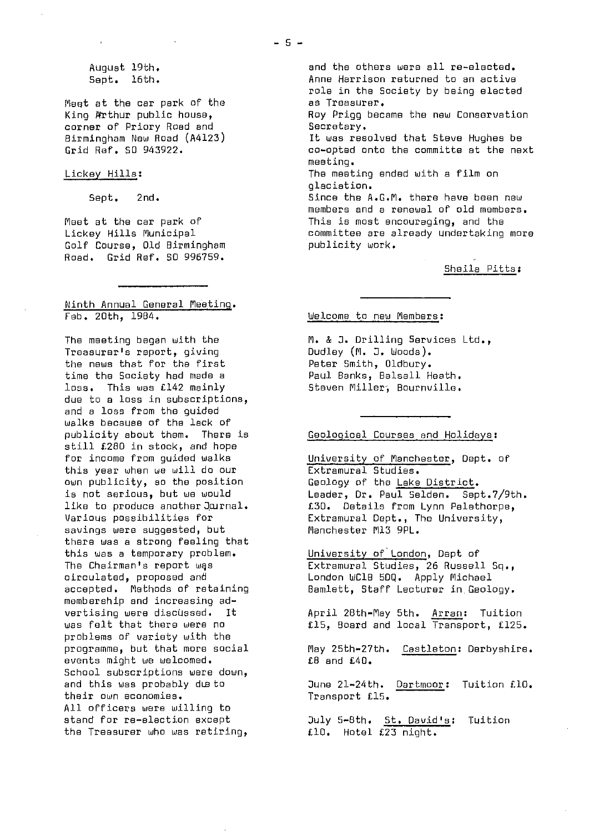Meet at the car park of the King Arthur public house, corner of Priory Road and Birmingham New Road (A4123) Grid Ref. 60 943922.

### Lickey Hills:

Sept. 2nd.

Meet at the car park of Lickey Hills Municipal Golf Course, Old Birmingham Road. Grid Ref. 50 996759.

# Ninth Annual General Meeting . Feb. 20th, 1904.

The meeting began with the Treasurer's report, giving the news that for the first time the Society had made a loss. This was £142 mainly due to a loss in subscriptions, and a loss from the guided walks because of the lack of publicity about them. There is still £280 in stock, and hope for income from guided walks this year when we will do our own publicity, so the position is not serious, but we would like to produce another Journal. Various possibilities for savings were suggested, but there was a strong feeling that this was a temporary problem. The Chairman's report was circulated, proposed and accepted. Methods of retaining membership and increasing advertising were discussed. It was felt that there were no problems of variety with the programme, but that more social events might we welcomed. School subscriptions were down, and this was probably due to their own economies. All officers were willing to stand for re-election except the Treasurer who was retiring,

and the others were all re-elected. Anne Harrison returned to an active role in the Society by being elected as Treasurer. Ray Prigg became the new Conservation Secretary. It was resolved that Steve Hughes be co-opted onto the committe at the next meeting. The meeting ended with a film on glaciation. Since the A.G.M. there have been new members and a renewal of old members. This is most encouraging, and the committee are already undertaking more publicity work.

Sheila Pitts :

### Welcome to new Members :

M. & J. Drilling Services Ltd., Dudley (M. D. Woods). Peter Smith, Oldbury. Paul Banks, Balsall Heath. Steven Miller, Bournville.

# Geological Courses and Holidays :

University of Manchester, Dept. of Extramural Studies. Geology of the Lake District. Leader, Dr. Paul Selden. Sept.7/9th. £30. Details from Lynn Palethorpe, Extramural Dept., The University, Manchester M13 9PL.

University of London, Dept of Extramural Studies, 26 Russell Sq., London WC1B 5DQ. Apply Michael Bamlett, Staff Lecturer in. Geology.

April 28th-May 5th. Arran: Tuition £15, Board and local Transport, £125.

May 25th-27th. Castleton: Derbyshire.  $£8$  and  $£40.$ 

June 21-24th. Dartmoor: Tuition £10. Transport £15.

July 5-8th. St. David's: Tuition £10. Hotel £23 night.